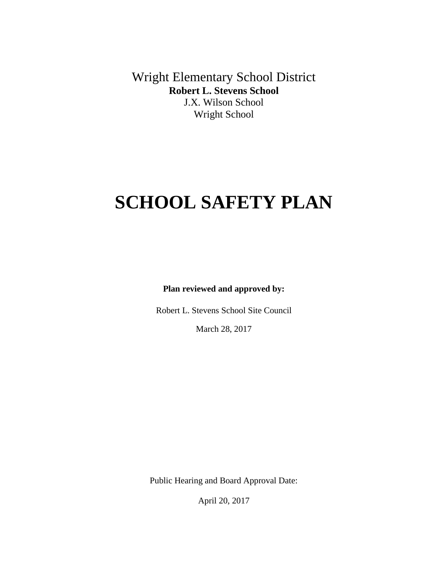Wright Elementary School District **Robert L. Stevens School** J.X. Wilson School Wright School

# **SCHOOL SAFETY PLAN**

**Plan reviewed and approved by:**

Robert L. Stevens School Site Council

March 28, 2017

Public Hearing and Board Approval Date:

April 20, 2017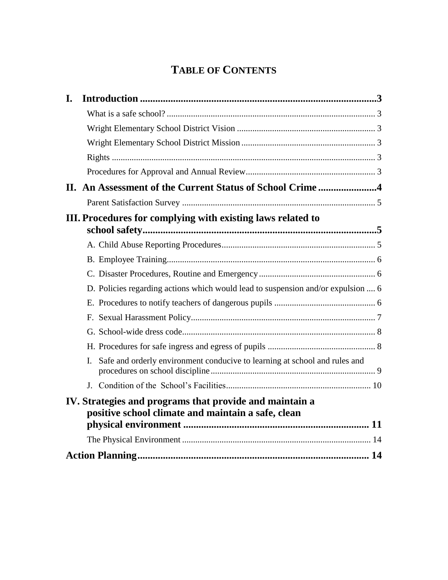## **TABLE OF CONTENTS**

| I. |                                                                                                               |  |
|----|---------------------------------------------------------------------------------------------------------------|--|
|    |                                                                                                               |  |
|    |                                                                                                               |  |
|    |                                                                                                               |  |
|    |                                                                                                               |  |
|    |                                                                                                               |  |
|    |                                                                                                               |  |
|    |                                                                                                               |  |
|    | III. Procedures for complying with existing laws related to                                                   |  |
|    |                                                                                                               |  |
|    |                                                                                                               |  |
|    |                                                                                                               |  |
|    | D. Policies regarding actions which would lead to suspension and/or expulsion  6                              |  |
|    |                                                                                                               |  |
|    |                                                                                                               |  |
|    |                                                                                                               |  |
|    |                                                                                                               |  |
|    | Safe and orderly environment conducive to learning at school and rules and<br>I.                              |  |
|    |                                                                                                               |  |
|    | IV. Strategies and programs that provide and maintain a<br>positive school climate and maintain a safe, clean |  |
|    |                                                                                                               |  |
|    |                                                                                                               |  |
|    |                                                                                                               |  |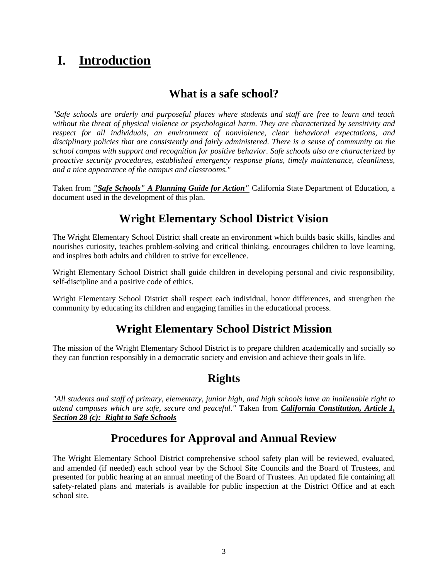## <span id="page-2-0"></span>**I. Introduction**

### **What is a safe school?**

<span id="page-2-1"></span>*"Safe schools are orderly and purposeful places where students and staff are free to learn and teach without the threat of physical violence or psychological harm. They are characterized by sensitivity and respect for all individuals, an environment of nonviolence, clear behavioral expectations, and disciplinary policies that are consistently and fairly administered. There is a sense of community on the school campus with support and recognition for positive behavior. Safe schools also are characterized by proactive security procedures, established emergency response plans, timely maintenance, cleanliness, and a nice appearance of the campus and classrooms."*

Taken from *"Safe Schools" A Planning Guide for Action"* California State Department of Education, a document used in the development of this plan.

## **Wright Elementary School District Vision**

<span id="page-2-2"></span>The Wright Elementary School District shall create an environment which builds basic skills, kindles and nourishes curiosity, teaches problem-solving and critical thinking, encourages children to love learning, and inspires both adults and children to strive for excellence.

Wright Elementary School District shall guide children in developing personal and civic responsibility, self-discipline and a positive code of ethics.

Wright Elementary School District shall respect each individual, honor differences, and strengthen the community by educating its children and engaging families in the educational process.

## **Wright Elementary School District Mission**

<span id="page-2-3"></span>The mission of the Wright Elementary School District is to prepare children academically and socially so they can function responsibly in a democratic society and envision and achieve their goals in life.

### **Rights**

<span id="page-2-4"></span>*"All students and staff of primary, elementary, junior high, and high schools have an inalienable right to attend campuses which are safe, secure and peaceful."* Taken from *California Constitution, Article 1, Section 28 (c): Right to Safe Schools*

## **Procedures for Approval and Annual Review**

<span id="page-2-5"></span>The Wright Elementary School District comprehensive school safety plan will be reviewed, evaluated, and amended (if needed) each school year by the School Site Councils and the Board of Trustees, and presented for public hearing at an annual meeting of the Board of Trustees. An updated file containing all safety-related plans and materials is available for public inspection at the District Office and at each school site.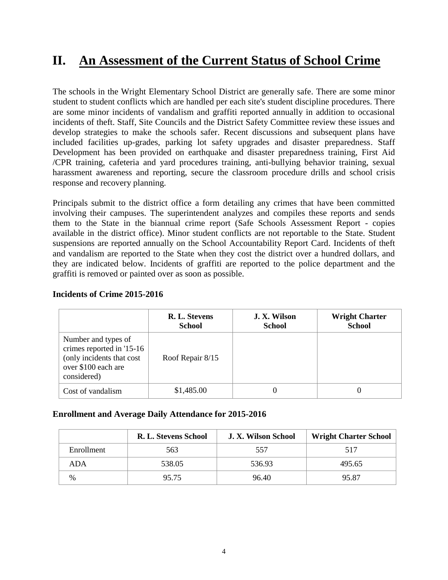## <span id="page-3-0"></span>**II. An Assessment of the Current Status of School Crime**

The schools in the Wright Elementary School District are generally safe. There are some minor student to student conflicts which are handled per each site's student discipline procedures. There are some minor incidents of vandalism and graffiti reported annually in addition to occasional incidents of theft. Staff, Site Councils and the District Safety Committee review these issues and develop strategies to make the schools safer. Recent discussions and subsequent plans have included facilities up-grades, parking lot safety upgrades and disaster preparedness. Staff Development has been provided on earthquake and disaster preparedness training, First Aid /CPR training, cafeteria and yard procedures training, anti-bullying behavior training, sexual harassment awareness and reporting, secure the classroom procedure drills and school crisis response and recovery planning.

Principals submit to the district office a form detailing any crimes that have been committed involving their campuses. The superintendent analyzes and compiles these reports and sends them to the State in the biannual crime report (Safe Schools Assessment Report - copies available in the district office). Minor student conflicts are not reportable to the State. Student suspensions are reported annually on the School Accountability Report Card. Incidents of theft and vandalism are reported to the State when they cost the district over a hundred dollars, and they are indicated below. Incidents of graffiti are reported to the police department and the graffiti is removed or painted over as soon as possible.

|                                                                                                                     | R. L. Stevens<br><b>School</b> | J. X. Wilson<br><b>School</b> | <b>Wright Charter</b><br><b>School</b> |
|---------------------------------------------------------------------------------------------------------------------|--------------------------------|-------------------------------|----------------------------------------|
| Number and types of<br>crimes reported in '15-16<br>(only incidents that cost<br>over \$100 each are<br>considered) | Roof Repair 8/15               |                               |                                        |
| Cost of vandalism                                                                                                   | \$1,485.00                     |                               |                                        |

#### **Incidents of Crime 2015-2016**

#### **Enrollment and Average Daily Attendance for 2015-2016**

|               | R. L. Stevens School | J. X. Wilson School | <b>Wright Charter School</b> |
|---------------|----------------------|---------------------|------------------------------|
| Enrollment    | 563                  | 557                 | 517                          |
| ADA           | 538.05               | 536.93              | 495.65                       |
| $\frac{0}{0}$ | 95.75                | 96.40               | 95.87                        |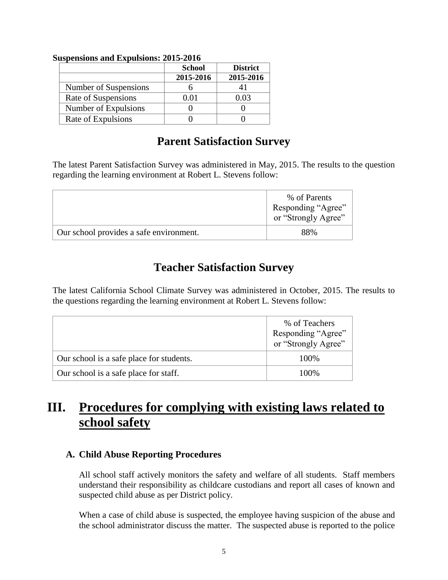|                       | <b>School</b> | <b>District</b> |
|-----------------------|---------------|-----------------|
|                       | 2015-2016     | 2015-2016       |
| Number of Suspensions |               |                 |
| Rate of Suspensions   | 0.01          | 0.03            |
| Number of Expulsions  |               |                 |
| Rate of Expulsions    |               |                 |

#### **Suspensions and Expulsions: 2015-2016**

### **Parent Satisfaction Survey**

<span id="page-4-0"></span>The latest Parent Satisfaction Survey was administered in May, 2015. The results to the question regarding the learning environment at Robert L. Stevens follow:

|                                         | % of Parents<br>Responding "Agree"<br>or "Strongly Agree" |
|-----------------------------------------|-----------------------------------------------------------|
| Our school provides a safe environment. | 88%                                                       |

## **Teacher Satisfaction Survey**

The latest California School Climate Survey was administered in October, 2015. The results to the questions regarding the learning environment at Robert L. Stevens follow:

|                                          | % of Teachers<br>Responding "Agree"<br>or "Strongly Agree" |
|------------------------------------------|------------------------------------------------------------|
| Our school is a safe place for students. | 100\%                                                      |
| Our school is a safe place for staff.    | 100\%                                                      |

## <span id="page-4-1"></span>**III. Procedures for complying with existing laws related to school safety**

#### <span id="page-4-2"></span>**A. Child Abuse Reporting Procedures**

All school staff actively monitors the safety and welfare of all students. Staff members understand their responsibility as childcare custodians and report all cases of known and suspected child abuse as per District policy.

When a case of child abuse is suspected, the employee having suspicion of the abuse and the school administrator discuss the matter. The suspected abuse is reported to the police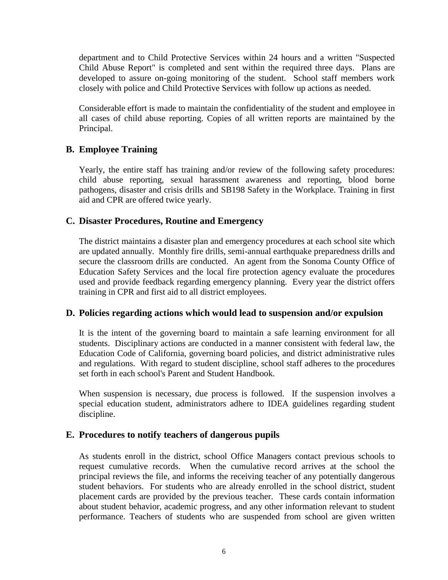department and to Child Protective Services within 24 hours and a written "Suspected Child Abuse Report" is completed and sent within the required three days. Plans are developed to assure on-going monitoring of the student. School staff members work closely with police and Child Protective Services with follow up actions as needed.

Considerable effort is made to maintain the confidentiality of the student and employee in all cases of child abuse reporting. Copies of all written reports are maintained by the Principal.

#### <span id="page-5-0"></span>**B. Employee Training**

Yearly, the entire staff has training and/or review of the following safety procedures: child abuse reporting, sexual harassment awareness and reporting, blood borne pathogens, disaster and crisis drills and SB198 Safety in the Workplace. Training in first aid and CPR are offered twice yearly.

#### <span id="page-5-1"></span>**C. Disaster Procedures, Routine and Emergency**

The district maintains a disaster plan and emergency procedures at each school site which are updated annually. Monthly fire drills, semi-annual earthquake preparedness drills and secure the classroom drills are conducted. An agent from the Sonoma County Office of Education Safety Services and the local fire protection agency evaluate the procedures used and provide feedback regarding emergency planning. Every year the district offers training in CPR and first aid to all district employees.

#### <span id="page-5-2"></span>**D. Policies regarding actions which would lead to suspension and/or expulsion**

It is the intent of the governing board to maintain a safe learning environment for all students. Disciplinary actions are conducted in a manner consistent with federal law, the Education Code of California, governing board policies, and district administrative rules and regulations. With regard to student discipline, school staff adheres to the procedures set forth in each school's Parent and Student Handbook.

When suspension is necessary, due process is followed. If the suspension involves a special education student, administrators adhere to IDEA guidelines regarding student discipline.

#### <span id="page-5-3"></span>**E. Procedures to notify teachers of dangerous pupils**

As students enroll in the district, school Office Managers contact previous schools to request cumulative records. When the cumulative record arrives at the school the principal reviews the file, and informs the receiving teacher of any potentially dangerous student behaviors. For students who are already enrolled in the school district, student placement cards are provided by the previous teacher. These cards contain information about student behavior, academic progress, and any other information relevant to student performance. Teachers of students who are suspended from school are given written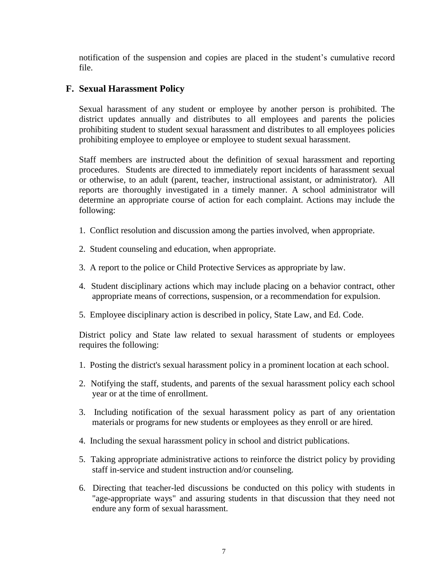notification of the suspension and copies are placed in the student's cumulative record file.

#### <span id="page-6-0"></span>**F. Sexual Harassment Policy**

Sexual harassment of any student or employee by another person is prohibited. The district updates annually and distributes to all employees and parents the policies prohibiting student to student sexual harassment and distributes to all employees policies prohibiting employee to employee or employee to student sexual harassment.

Staff members are instructed about the definition of sexual harassment and reporting procedures. Students are directed to immediately report incidents of harassment sexual or otherwise, to an adult (parent, teacher, instructional assistant, or administrator). All reports are thoroughly investigated in a timely manner. A school administrator will determine an appropriate course of action for each complaint. Actions may include the following:

- 1. Conflict resolution and discussion among the parties involved, when appropriate.
- 2. Student counseling and education, when appropriate.
- 3. A report to the police or Child Protective Services as appropriate by law.
- 4. Student disciplinary actions which may include placing on a behavior contract, other appropriate means of corrections, suspension, or a recommendation for expulsion.
- 5. Employee disciplinary action is described in policy, State Law, and Ed. Code.

District policy and State law related to sexual harassment of students or employees requires the following:

- 1. Posting the district's sexual harassment policy in a prominent location at each school.
- 2. Notifying the staff, students, and parents of the sexual harassment policy each school year or at the time of enrollment.
- 3. Including notification of the sexual harassment policy as part of any orientation materials or programs for new students or employees as they enroll or are hired.
- 4. Including the sexual harassment policy in school and district publications.
- 5. Taking appropriate administrative actions to reinforce the district policy by providing staff in-service and student instruction and/or counseling.
- 6. Directing that teacher-led discussions be conducted on this policy with students in "age-appropriate ways" and assuring students in that discussion that they need not endure any form of sexual harassment.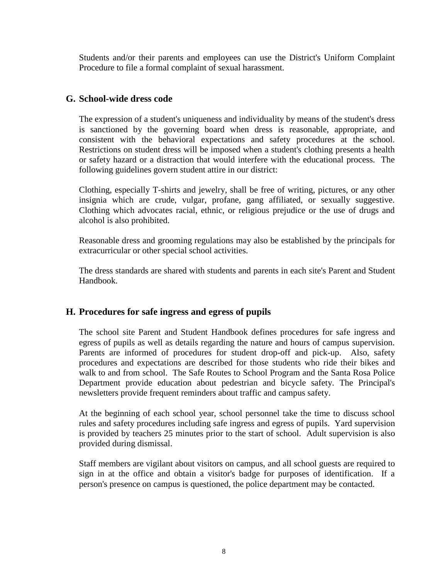Students and/or their parents and employees can use the District's Uniform Complaint Procedure to file a formal complaint of sexual harassment.

#### <span id="page-7-0"></span>**G. School-wide dress code**

The expression of a student's uniqueness and individuality by means of the student's dress is sanctioned by the governing board when dress is reasonable, appropriate, and consistent with the behavioral expectations and safety procedures at the school. Restrictions on student dress will be imposed when a student's clothing presents a health or safety hazard or a distraction that would interfere with the educational process. The following guidelines govern student attire in our district:

Clothing, especially T-shirts and jewelry, shall be free of writing, pictures, or any other insignia which are crude, vulgar, profane, gang affiliated, or sexually suggestive. Clothing which advocates racial, ethnic, or religious prejudice or the use of drugs and alcohol is also prohibited.

Reasonable dress and grooming regulations may also be established by the principals for extracurricular or other special school activities.

The dress standards are shared with students and parents in each site's Parent and Student Handbook.

#### <span id="page-7-1"></span>**H. Procedures for safe ingress and egress of pupils**

The school site Parent and Student Handbook defines procedures for safe ingress and egress of pupils as well as details regarding the nature and hours of campus supervision. Parents are informed of procedures for student drop-off and pick-up. Also, safety procedures and expectations are described for those students who ride their bikes and walk to and from school. The Safe Routes to School Program and the Santa Rosa Police Department provide education about pedestrian and bicycle safety. The Principal's newsletters provide frequent reminders about traffic and campus safety.

At the beginning of each school year, school personnel take the time to discuss school rules and safety procedures including safe ingress and egress of pupils. Yard supervision is provided by teachers 25 minutes prior to the start of school. Adult supervision is also provided during dismissal.

Staff members are vigilant about visitors on campus, and all school guests are required to sign in at the office and obtain a visitor's badge for purposes of identification. If a person's presence on campus is questioned, the police department may be contacted.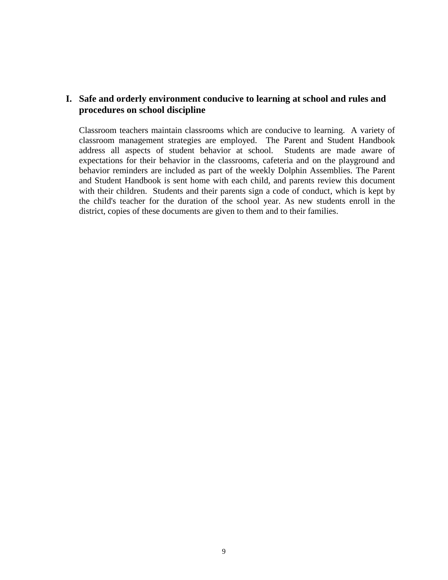#### <span id="page-8-0"></span>**I. Safe and orderly environment conducive to learning at school and rules and procedures on school discipline**

Classroom teachers maintain classrooms which are conducive to learning. A variety of classroom management strategies are employed. The Parent and Student Handbook address all aspects of student behavior at school. Students are made aware of expectations for their behavior in the classrooms, cafeteria and on the playground and behavior reminders are included as part of the weekly Dolphin Assemblies. The Parent and Student Handbook is sent home with each child, and parents review this document with their children. Students and their parents sign a code of conduct, which is kept by the child's teacher for the duration of the school year. As new students enroll in the district, copies of these documents are given to them and to their families.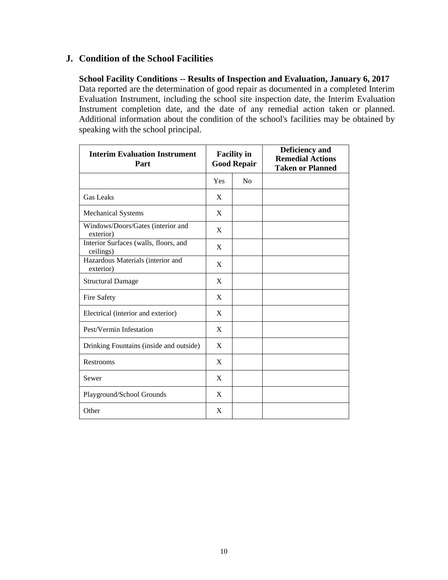#### <span id="page-9-0"></span>**J. Condition of the School Facilities**

**School Facility Conditions -- Results of Inspection and Evaluation, January 6, 2017** Data reported are the determination of good repair as documented in a completed Interim Evaluation Instrument, including the school site inspection date, the Interim Evaluation Instrument completion date, and the date of any remedial action taken or planned. Additional information about the condition of the school's facilities may be obtained by speaking with the school principal.

| <b>Interim Evaluation Instrument</b><br>Part       | <b>Facility in</b><br><b>Good Repair</b> |    | Deficiency and<br><b>Remedial Actions</b><br><b>Taken or Planned</b> |
|----------------------------------------------------|------------------------------------------|----|----------------------------------------------------------------------|
|                                                    | Yes                                      | No |                                                                      |
| <b>Gas Leaks</b>                                   | X                                        |    |                                                                      |
| <b>Mechanical Systems</b>                          | X                                        |    |                                                                      |
| Windows/Doors/Gates (interior and<br>exterior)     | X                                        |    |                                                                      |
| Interior Surfaces (walls, floors, and<br>ceilings) | X                                        |    |                                                                      |
| Hazardous Materials (interior and<br>exterior)     | X                                        |    |                                                                      |
| <b>Structural Damage</b>                           | X                                        |    |                                                                      |
| Fire Safety                                        | X                                        |    |                                                                      |
| Electrical (interior and exterior)                 | X                                        |    |                                                                      |
| Pest/Vermin Infestation                            | X                                        |    |                                                                      |
| Drinking Fountains (inside and outside)            | X                                        |    |                                                                      |
| Restrooms                                          | X                                        |    |                                                                      |
| Sewer                                              | X                                        |    |                                                                      |
| Playground/School Grounds                          | X                                        |    |                                                                      |
| Other                                              | X                                        |    |                                                                      |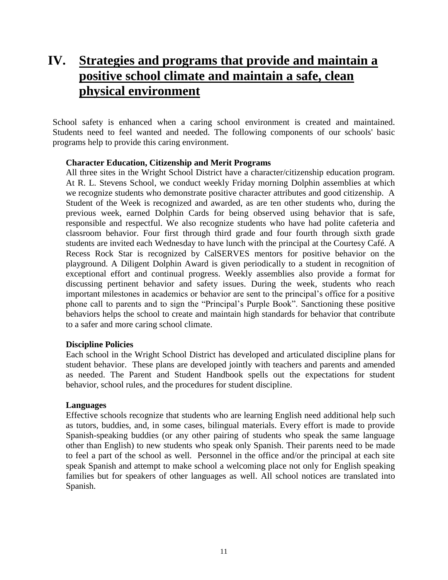## <span id="page-10-0"></span>**IV. Strategies and programs that provide and maintain a positive school climate and maintain a safe, clean physical environment**

School safety is enhanced when a caring school environment is created and maintained. Students need to feel wanted and needed. The following components of our schools' basic programs help to provide this caring environment.

#### **Character Education, Citizenship and Merit Programs**

All three sites in the Wright School District have a character/citizenship education program. At R. L. Stevens School, we conduct weekly Friday morning Dolphin assemblies at which we recognize students who demonstrate positive character attributes and good citizenship. A Student of the Week is recognized and awarded, as are ten other students who, during the previous week, earned Dolphin Cards for being observed using behavior that is safe, responsible and respectful. We also recognize students who have had polite cafeteria and classroom behavior. Four first through third grade and four fourth through sixth grade students are invited each Wednesday to have lunch with the principal at the Courtesy Café. A Recess Rock Star is recognized by CalSERVES mentors for positive behavior on the playground. A Diligent Dolphin Award is given periodically to a student in recognition of exceptional effort and continual progress. Weekly assemblies also provide a format for discussing pertinent behavior and safety issues. During the week, students who reach important milestones in academics or behavior are sent to the principal's office for a positive phone call to parents and to sign the "Principal's Purple Book". Sanctioning these positive behaviors helps the school to create and maintain high standards for behavior that contribute to a safer and more caring school climate.

#### **Discipline Policies**

Each school in the Wright School District has developed and articulated discipline plans for student behavior. These plans are developed jointly with teachers and parents and amended as needed. The Parent and Student Handbook spells out the expectations for student behavior, school rules, and the procedures for student discipline.

#### **Languages**

Effective schools recognize that students who are learning English need additional help such as tutors, buddies, and, in some cases, bilingual materials. Every effort is made to provide Spanish-speaking buddies (or any other pairing of students who speak the same language other than English) to new students who speak only Spanish. Their parents need to be made to feel a part of the school as well. Personnel in the office and/or the principal at each site speak Spanish and attempt to make school a welcoming place not only for English speaking families but for speakers of other languages as well. All school notices are translated into Spanish.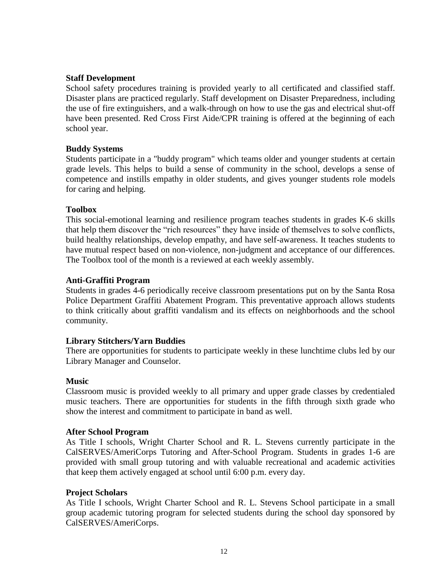#### **Staff Development**

School safety procedures training is provided yearly to all certificated and classified staff. Disaster plans are practiced regularly. Staff development on Disaster Preparedness, including the use of fire extinguishers, and a walk-through on how to use the gas and electrical shut-off have been presented. Red Cross First Aide/CPR training is offered at the beginning of each school year.

#### **Buddy Systems**

Students participate in a "buddy program" which teams older and younger students at certain grade levels. This helps to build a sense of community in the school, develops a sense of competence and instills empathy in older students, and gives younger students role models for caring and helping.

#### **Toolbox**

This social-emotional learning and resilience program teaches students in grades K-6 skills that help them discover the "rich resources" they have inside of themselves to solve conflicts, build healthy relationships, develop empathy, and have self-awareness. It teaches students to have mutual respect based on non-violence, non-judgment and acceptance of our differences. The Toolbox tool of the month is a reviewed at each weekly assembly.

#### **Anti-Graffiti Program**

Students in grades 4-6 periodically receive classroom presentations put on by the Santa Rosa Police Department Graffiti Abatement Program. This preventative approach allows students to think critically about graffiti vandalism and its effects on neighborhoods and the school community.

#### **Library Stitchers/Yarn Buddies**

There are opportunities for students to participate weekly in these lunchtime clubs led by our Library Manager and Counselor.

#### **Music**

Classroom music is provided weekly to all primary and upper grade classes by credentialed music teachers. There are opportunities for students in the fifth through sixth grade who show the interest and commitment to participate in band as well.

#### **After School Program**

As Title I schools, Wright Charter School and R. L. Stevens currently participate in the CalSERVES/AmeriCorps Tutoring and After-School Program. Students in grades 1-6 are provided with small group tutoring and with valuable recreational and academic activities that keep them actively engaged at school until 6:00 p.m. every day.

#### **Project Scholars**

As Title I schools, Wright Charter School and R. L. Stevens School participate in a small group academic tutoring program for selected students during the school day sponsored by CalSERVES/AmeriCorps.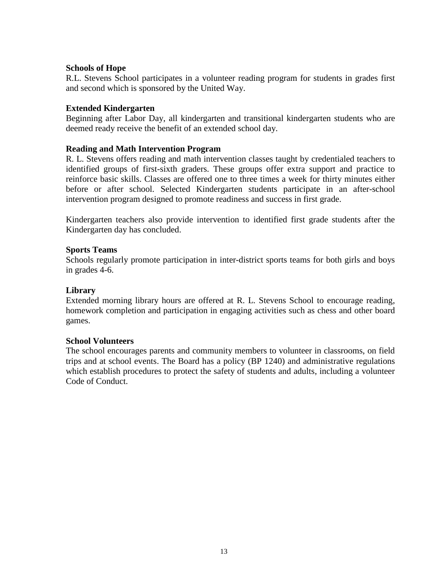#### **Schools of Hope**

R.L. Stevens School participates in a volunteer reading program for students in grades first and second which is sponsored by the United Way.

#### **Extended Kindergarten**

Beginning after Labor Day, all kindergarten and transitional kindergarten students who are deemed ready receive the benefit of an extended school day.

#### **Reading and Math Intervention Program**

R. L. Stevens offers reading and math intervention classes taught by credentialed teachers to identified groups of first-sixth graders. These groups offer extra support and practice to reinforce basic skills. Classes are offered one to three times a week for thirty minutes either before or after school. Selected Kindergarten students participate in an after-school intervention program designed to promote readiness and success in first grade.

Kindergarten teachers also provide intervention to identified first grade students after the Kindergarten day has concluded.

#### **Sports Teams**

Schools regularly promote participation in inter-district sports teams for both girls and boys in grades 4-6.

#### **Library**

Extended morning library hours are offered at R. L. Stevens School to encourage reading, homework completion and participation in engaging activities such as chess and other board games.

#### **School Volunteers**

The school encourages parents and community members to volunteer in classrooms, on field trips and at school events. The Board has a policy (BP 1240) and administrative regulations which establish procedures to protect the safety of students and adults, including a volunteer Code of Conduct.